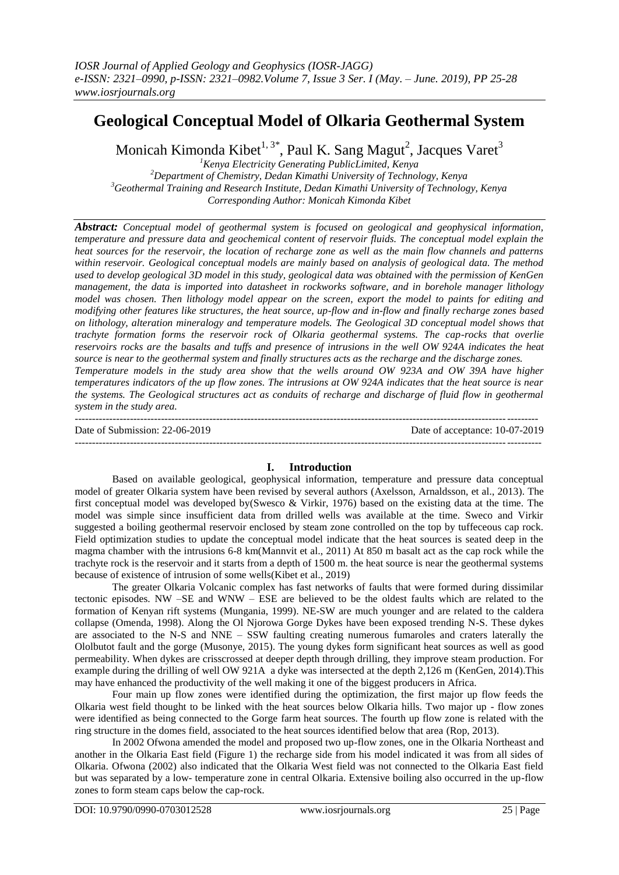# **Geological Conceptual Model of Olkaria Geothermal System**

Monicah Kimonda Kibet $^{1,\,3^{\ast}}$ , Paul K. Sang Magut<sup>2</sup>, Jacques Varet $^{3}$ 

*Kenya Electricity Generating PublicLimited, Kenya Department of Chemistry, Dedan Kimathi University of Technology, Kenya Geothermal Training and Research Institute, Dedan Kimathi University of Technology, Kenya Corresponding Author: Monicah Kimonda Kibet*

*Abstract: Conceptual model of geothermal system is focused on geological and geophysical information, temperature and pressure data and geochemical content of reservoir fluids. The conceptual model explain the heat sources for the reservoir, the location of recharge zone as well as the main flow channels and patterns within reservoir. Geological conceptual models are mainly based on analysis of geological data. The method used to develop geological 3D model in this study, geological data was obtained with the permission of KenGen management, the data is imported into datasheet in rockworks software, and in borehole manager lithology model was chosen. Then lithology model appear on the screen, export the model to paints for editing and modifying other features like structures, the heat source, up-flow and in-flow and finally recharge zones based on lithology, alteration mineralogy and temperature models. The Geological 3D conceptual model shows that trachyte formation forms the reservoir rock of Olkaria geothermal systems. The cap-rocks that overlie reservoirs rocks are the basalts and tuffs and presence of intrusions in the well OW 924A indicates the heat source is near to the geothermal system and finally structures acts as the recharge and the discharge zones. Temperature models in the study area show that the wells around OW 923A and OW 39A have higher temperatures indicators of the up flow zones. The intrusions at OW 924A indicates that the heat source is near the systems. The Geological structures act as conduits of recharge and discharge of fluid flow in geothermal system in the study area.*

-------------------------------------------------------------------------------------------------------------------------------------- Date of Submission: 22-06-2019 Date of acceptance: 10-07-2019 ---------------------------------------------------------------------------------------------------------------------------------------

## **I. Introduction**

Based on available geological, geophysical information, temperature and pressure data conceptual model of greater Olkaria system have been revised by several authors (Axelsson, Arnaldsson, et al., 2013). The first conceptual model was developed by(Swesco & Virkir, 1976) based on the existing data at the time. The model was simple since insufficient data from drilled wells was available at the time. Sweco and Virkir suggested a boiling geothermal reservoir enclosed by steam zone controlled on the top by tuffeceous cap rock. Field optimization studies to update the conceptual model indicate that the heat sources is seated deep in the magma chamber with the intrusions 6-8 km(Mannvit et al., 2011) At 850 m basalt act as the cap rock while the trachyte rock is the reservoir and it starts from a depth of 1500 m. the heat source is near the geothermal systems because of existence of intrusion of some wells(Kibet et al., 2019)

The greater Olkaria Volcanic complex has fast networks of faults that were formed during dissimilar tectonic episodes. NW –SE and WNW – ESE are believed to be the oldest faults which are related to the formation of Kenyan rift systems (Mungania, 1999). NE-SW are much younger and are related to the caldera collapse (Omenda, 1998). Along the Ol Njorowa Gorge Dykes have been exposed trending N-S. These dykes are associated to the N-S and NNE – SSW faulting creating numerous fumaroles and craters laterally the Ololbutot fault and the gorge (Musonye, 2015). The young dykes form significant heat sources as well as good permeability. When dykes are crisscrossed at deeper depth through drilling, they improve steam production. For example during the drilling of well OW 921A a dyke was intersected at the depth 2,126 m (KenGen, 2014).This may have enhanced the productivity of the well making it one of the biggest producers in Africa.

Four main up flow zones were identified during the optimization, the first major up flow feeds the Olkaria west field thought to be linked with the heat sources below Olkaria hills. Two major up - flow zones were identified as being connected to the Gorge farm heat sources. The fourth up flow zone is related with the ring structure in the domes field, associated to the heat sources identified below that area (Rop, 2013).

In 2002 Ofwona amended the model and proposed two up-flow zones, one in the Olkaria Northeast and another in the Olkaria East field (Figure 1) the recharge side from his model indicated it was from all sides of Olkaria. Ofwona (2002) also indicated that the Olkaria West field was not connected to the Olkaria East field but was separated by a low- temperature zone in central Olkaria. Extensive boiling also occurred in the up-flow zones to form steam caps below the cap-rock.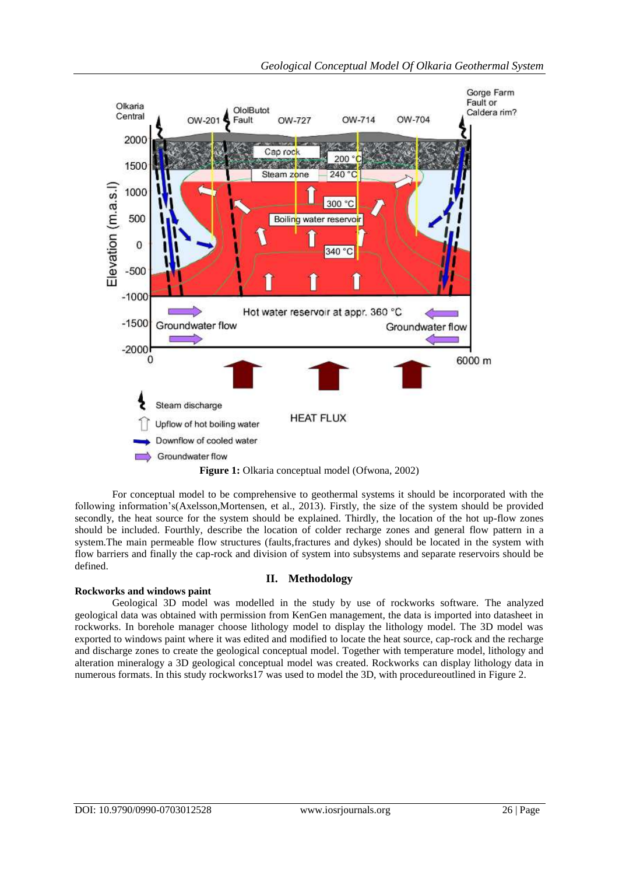

For conceptual model to be comprehensive to geothermal systems it should be incorporated with the following information's(Axelsson,Mortensen, et al., 2013). Firstly, the size of the system should be provided secondly, the heat source for the system should be explained. Thirdly, the location of the hot up-flow zones should be included. Fourthly, describe the location of colder recharge zones and general flow pattern in a system.The main permeable flow structures (faults,fractures and dykes) should be located in the system with flow barriers and finally the cap-rock and division of system into subsystems and separate reservoirs should be defined.

## **II. Methodology**

## **Rockworks and windows paint**

Geological 3D model was modelled in the study by use of rockworks software. The analyzed geological data was obtained with permission from KenGen management, the data is imported into datasheet in rockworks. In borehole manager choose lithology model to display the lithology model. The 3D model was exported to windows paint where it was edited and modified to locate the heat source, cap-rock and the recharge and discharge zones to create the geological conceptual model. Together with temperature model, lithology and alteration mineralogy a 3D geological conceptual model was created. Rockworks can display lithology data in numerous formats. In this study rockworks17 was used to model the 3D, with procedureoutlined in Figure 2.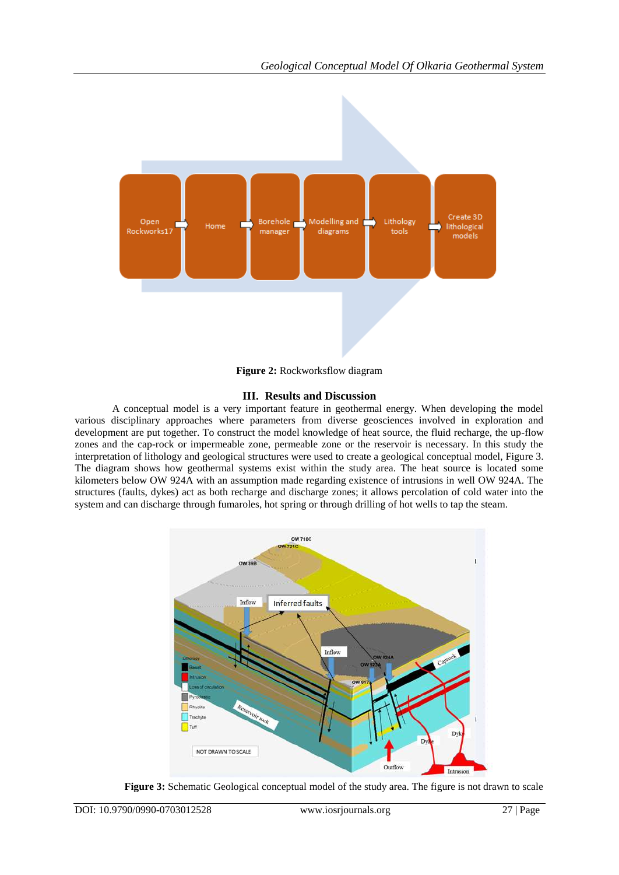

**Figure 2:** Rockworksflow diagram

## **III. Results and Discussion**

A conceptual model is a very important feature in geothermal energy. When developing the model various disciplinary approaches where parameters from diverse geosciences involved in exploration and development are put together. To construct the model knowledge of heat source, the fluid recharge, the up-flow zones and the cap-rock or impermeable zone, permeable zone or the reservoir is necessary. In this study the interpretation of lithology and geological structures were used to create a geological conceptual model, Figure 3. The diagram shows how geothermal systems exist within the study area. The heat source is located some kilometers below OW 924A with an assumption made regarding existence of intrusions in well OW 924A. The structures (faults, dykes) act as both recharge and discharge zones; it allows percolation of cold water into the system and can discharge through fumaroles, hot spring or through drilling of hot wells to tap the steam.



**Figure 3:** Schematic Geological conceptual model of the study area. The figure is not drawn to scale